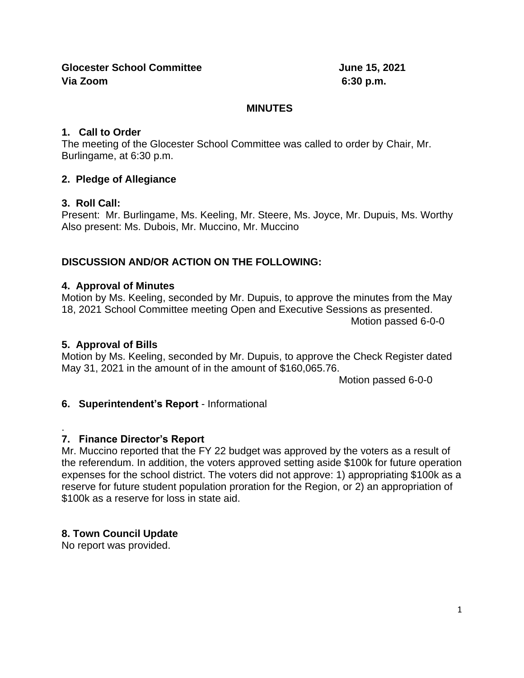### **MINUTES**

### **1. Call to Order**

The meeting of the Glocester School Committee was called to order by Chair, Mr. Burlingame, at 6:30 p.m.

# **2. Pledge of Allegiance**

# **3. Roll Call:**

Present: Mr. Burlingame, Ms. Keeling, Mr. Steere, Ms. Joyce, Mr. Dupuis, Ms. Worthy Also present: Ms. Dubois, Mr. Muccino, Mr. Muccino

# **DISCUSSION AND/OR ACTION ON THE FOLLOWING:**

## **4. Approval of Minutes**

Motion by Ms. Keeling, seconded by Mr. Dupuis, to approve the minutes from the May 18, 2021 School Committee meeting Open and Executive Sessions as presented. Motion passed 6-0-0

## **5. Approval of Bills**

Motion by Ms. Keeling, seconded by Mr. Dupuis, to approve the Check Register dated May 31, 2021 in the amount of in the amount of \$160,065.76.

Motion passed 6-0-0

## **6. Superintendent's Report** - Informational

#### . **7. Finance Director's Report**

Mr. Muccino reported that the FY 22 budget was approved by the voters as a result of the referendum. In addition, the voters approved setting aside \$100k for future operation expenses for the school district. The voters did not approve: 1) appropriating \$100k as a reserve for future student population proration for the Region, or 2) an appropriation of \$100k as a reserve for loss in state aid.

## **8. Town Council Update**

No report was provided.